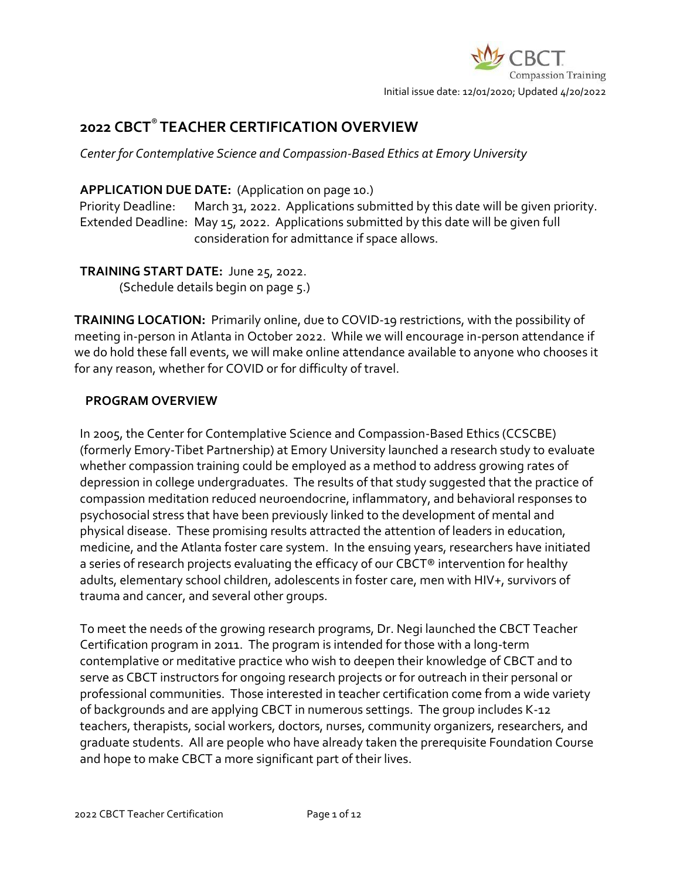# **2022 CBCT**® **TEACHER CERTIFICATION OVERVIEW**

*Center for Contemplative Science and Compassion-Based Ethics at Emory University*

# **APPLICATION DUE DATE:** (Application on page 10.)

Priority Deadline: March 31, 2022. Applications submitted by this date will be given priority. Extended Deadline: May 15, 2022. Applications submitted by this date will be given full consideration for admittance if space allows.

# **TRAINING START DATE:** June 25, 2022.

(Schedule details begin on page 5.)

**TRAINING LOCATION:** Primarily online, due to COVID-19 restrictions, with the possibility of meeting in-person in Atlanta in October 2022. While we will encourage in-person attendance if we do hold these fall events, we will make online attendance available to anyone who chooses it for any reason, whether for COVID or for difficulty of travel.

# **PROGRAM OVERVIEW**

In 2005, the Center for Contemplative Science and Compassion-Based Ethics (CCSCBE) (formerly Emory-Tibet Partnership) at Emory University launched a research study to evaluate whether compassion training could be employed as a method to address growing rates of depression in college undergraduates. The results of that study suggested that the practice of compassion meditation reduced neuroendocrine, inflammatory, and behavioral responses to psychosocial stress that have been previously linked to the development of mental and physical disease. These promising results attracted the attention of leaders in education, medicine, and the Atlanta foster care system. In the ensuing years, researchers have initiated a series of research projects evaluating the efficacy of our CBCT® intervention for healthy adults, elementary school children, adolescents in foster care, men with HIV+, survivors of trauma and cancer, and several other groups.

To meet the needs of the growing research programs, Dr. Negi launched the CBCT Teacher Certification program in 2011. The program is intended for those with a long-term contemplative or meditative practice who wish to deepen their knowledge of CBCT and to serve as CBCT instructors for ongoing research projects or for outreach in their personal or professional communities. Those interested in teacher certification come from a wide variety of backgrounds and are applying CBCT in numerous settings. The group includes K-12 teachers, therapists, social workers, doctors, nurses, community organizers, researchers, and graduate students. All are people who have already taken the prerequisite Foundation Course and hope to make CBCT a more significant part of their lives.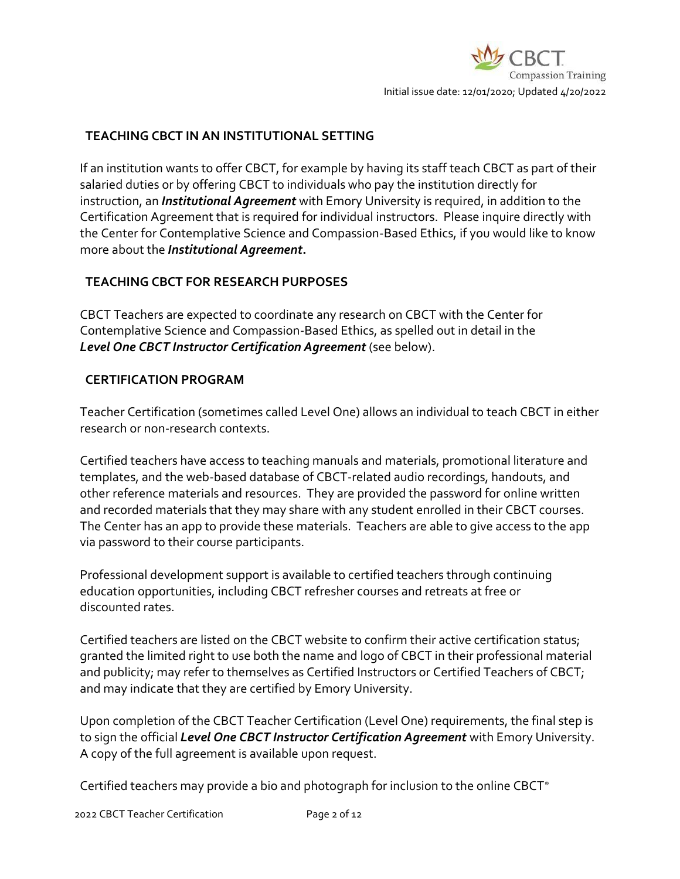### **TEACHING CBCT IN AN INSTITUTIONAL SETTING**

If an institution wants to offer CBCT, for example by having its staff teach CBCT as part of their salaried duties or by offering CBCT to individuals who pay the institution directly for instruction, an *Institutional Agreement* with Emory University is required, in addition to the Certification Agreement that is required for individual instructors. Please inquire directly with the Center for Contemplative Science and Compassion-Based Ethics, if you would like to know more about the *Institutional Agreement***.**

### **TEACHING CBCT FOR RESEARCH PURPOSES**

CBCT Teachers are expected to coordinate any research on CBCT with the Center for Contemplative Science and Compassion-Based Ethics, as spelled out in detail in the *Level One CBCT Instructor Certification Agreement* (see below).

### **CERTIFICATION PROGRAM**

Teacher Certification (sometimes called Level One) allows an individual to teach CBCT in either research or non-research contexts.

Certified teachers have access to teaching manuals and materials, promotional literature and templates, and the web-based database of CBCT-related audio recordings, handouts, and other reference materials and resources. They are provided the password for online written and recorded materials that they may share with any student enrolled in their CBCT courses. The Center has an app to provide these materials. Teachers are able to give access to the app via password to their course participants.

Professional development support is available to certified teachers through continuing education opportunities, including CBCT refresher courses and retreats at free or discounted rates.

Certified teachers are listed on the CBCT website to confirm their active certification status; granted the limited right to use both the name and logo of CBCT in their professional material and publicity; may refer to themselves as Certified Instructors or Certified Teachers of CBCT; and may indicate that they are certified by Emory University.

Upon completion of the CBCT Teacher Certification (Level One) requirements, the final step is to sign the official *Level One CBCT Instructor Certification Agreement* with Emory University. A copy of the full agreement is available upon request.

Certified teachers may provide a bio and photograph for inclusion to the online CBCT®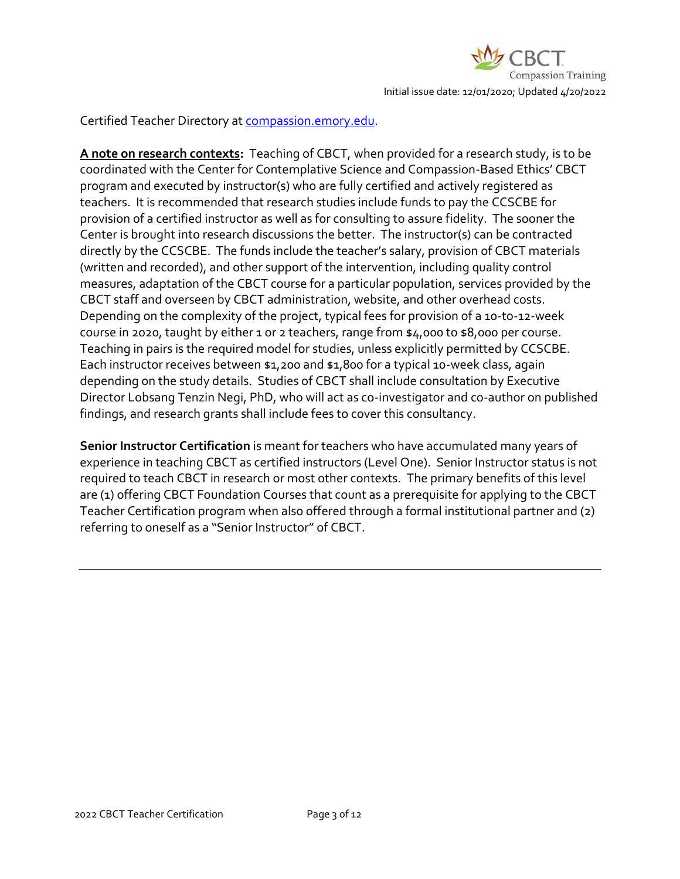

Certified Teacher Directory at [compassion.emory.edu.](https://compassion.emory.edu/cbct-compassion-training/certified-teachers/index.html)

**A note on research contexts:**Teaching of CBCT, when provided for a research study, is to be coordinated with the Center for Contemplative Science and Compassion-Based Ethics' CBCT program and executed by instructor(s) who are fully certified and actively registered as teachers. It is recommended that research studies include funds to pay the CCSCBE for provision of a certified instructor as well as for consulting to assure fidelity. The sooner the Center is brought into research discussions the better. The instructor(s) can be contracted directly by the CCSCBE. The funds include the teacher's salary, provision of CBCT materials (written and recorded), and other support of the intervention, including quality control measures, adaptation of the CBCT course for a particular population, services provided by the CBCT staff and overseen by CBCT administration, website, and other overhead costs. Depending on the complexity of the project, typical fees for provision of a 10-to-12-week course in 2020, taught by either 1 or 2 teachers, range from \$4,000 to \$8,000 per course. Teaching in pairs is the required model for studies, unless explicitly permitted by CCSCBE. Each instructor receives between \$1,200 and \$1,800 for a typical 10-week class, again depending on the study details. Studies of CBCT shall include consultation by Executive Director Lobsang Tenzin Negi, PhD, who will act as co-investigator and co-author on published findings, and research grants shall include fees to cover this consultancy.

**Senior Instructor Certification** is meant for teachers who have accumulated many years of experience in teaching CBCT as certified instructors (Level One). Senior Instructor status is not required to teach CBCT in research or most other contexts. The primary benefits of this level are (1) offering CBCT Foundation Courses that count as a prerequisite for applying to the CBCT Teacher Certification program when also offered through a formal institutional partner and (2) referring to oneself as a "Senior Instructor" of CBCT.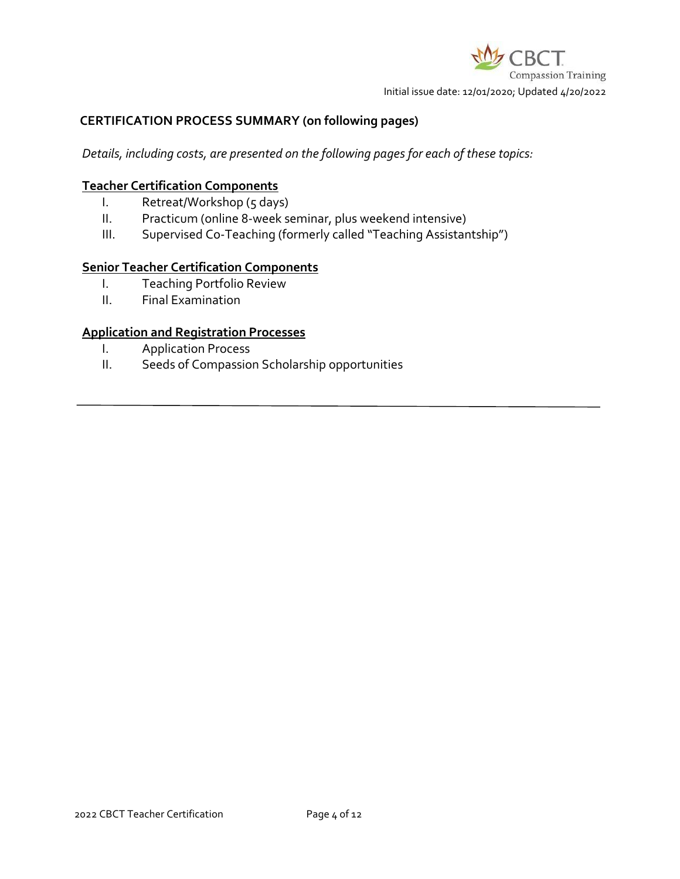

#### **CERTIFICATION PROCESS SUMMARY (on following pages)**

*Details, including costs, are presented on the following pages for each of these topics:*

#### **Teacher Certification Components**

- I. Retreat/Workshop (5 days)
- II. Practicum (online 8-week seminar, plus weekend intensive)
- III. Supervised Co-Teaching (formerly called "Teaching Assistantship")

#### **Senior Teacher Certification Components**

- I. Teaching Portfolio Review
- II. Final Examination

#### **Application and Registration Processes**

- I. Application Process
- II. Seeds of Compassion Scholarship opportunities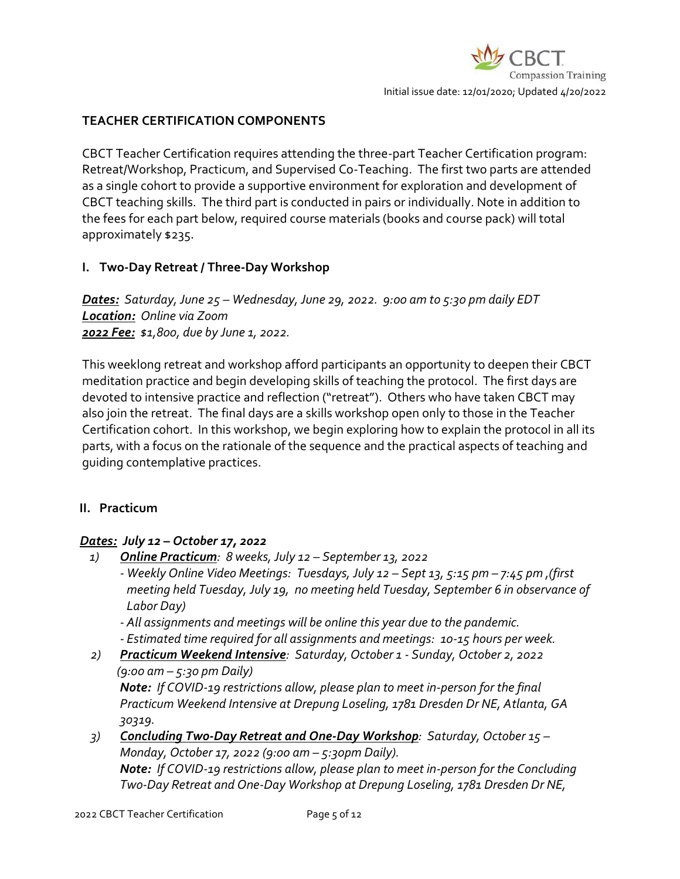## **TEACHER CERTIFICATION COMPONENTS**

CBCT Teacher Certification requires attending the three-part Teacher Certification program: Retreat/Workshop, Practicum, and Supervised Co-Teaching. The first two parts are attended as a single cohort to provide a supportive environment for exploration and development of CBCT teaching skills. The third part is conducted in pairs or individually. Note in addition to the fees for each part below, required course materials (books and course pack) will total approximately \$235.

### **I. Two-Day Retreat / Three-Day Workshop**

*Dates: Saturday, June 25 – Wednesday, June 29, 2022. 9:00 am to 5:30 pm daily EDT Location: Online via Zoom 2022 Fee: \$1,800, due by June 1, 2022.*

This weeklong retreat and workshop afford participants an opportunity to deepen their CBCT meditation practice and begin developing skills of teaching the protocol. The first days are devoted to intensive practice and reflection ("retreat"). Others who have taken CBCT may also join the retreat. The final days are a skills workshop open only to those in the Teacher Certification cohort. In this workshop, we begin exploring how to explain the protocol in all its parts, with a focus on the rationale of the sequence and the practical aspects of teaching and guiding contemplative practices.

### **II. Practicum**

### *Dates: July 12 – October 17, 2022*

- *1) Online Practicum: 8 weeks, July 12 – September 13, 2022*
	- *- Weekly Online Video Meetings: Tuesdays, July 12 – Sept 13, 5:15 pm – 7:45 pm ,(first meeting held Tuesday, July 19, no meeting held Tuesday, September 6 in observance of Labor Day)*
	- *- All assignments and meetings will be online this year due to the pandemic.*
	- *- Estimated time required for all assignments and meetings: 10-15 hours per week.*
- *2) Practicum Weekend Intensive: Saturday, October 1 - Sunday, October 2, 2022 (9:00 am – 5:30 pm Daily) Note: If COVID-19 restrictions allow, please plan to meet in-person for the final Practicum Weekend Intensive at Drepung Loseling, 1781 Dresden Dr NE, Atlanta, GA*

*30319. 3) Concluding Two-Day Retreat and One-Day Workshop: Saturday, October 15 – Monday, October 17, 2022 (9:00 am – 5:30pm Daily).* 

*Note: If COVID-19 restrictions allow, please plan to meet in-person for the Concluding Two-Day Retreat and One-Day Workshop at Drepung Loseling, 1781 Dresden Dr NE,*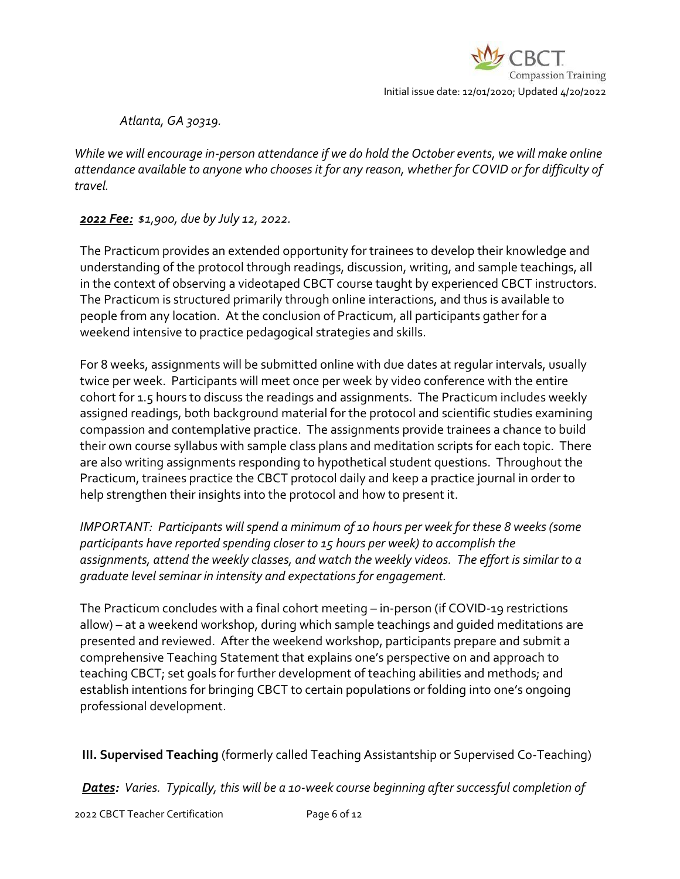

*Atlanta, GA 30319.* 

*While we will encourage in-person attendance if we do hold the October events, we will make online attendance available to anyone who chooses it for any reason, whether for COVID or for difficulty of travel.*

*2022 Fee: \$1,900, due by July 12, 2022.*

The Practicum provides an extended opportunity for trainees to develop their knowledge and understanding of the protocol through readings, discussion, writing, and sample teachings, all in the context of observing a videotaped CBCT course taught by experienced CBCT instructors. The Practicum is structured primarily through online interactions, and thus is available to people from any location. At the conclusion of Practicum, all participants gather for a weekend intensive to practice pedagogical strategies and skills.

For 8 weeks, assignments will be submitted online with due dates at regular intervals, usually twice per week. Participants will meet once per week by video conference with the entire cohort for 1.5 hours to discuss the readings and assignments. The Practicum includes weekly assigned readings, both background material for the protocol and scientific studies examining compassion and contemplative practice. The assignments provide trainees a chance to build their own course syllabus with sample class plans and meditation scripts for each topic. There are also writing assignments responding to hypothetical student questions. Throughout the Practicum, trainees practice the CBCT protocol daily and keep a practice journal in order to help strengthen their insights into the protocol and how to present it.

*IMPORTANT: Participants will spend a minimum of 10 hours per week for these 8 weeks (some participants have reported spending closer to 15 hours per week) to accomplish the assignments, attend the weekly classes, and watch the weekly videos. The effort is similar to a graduate level seminar in intensity and expectations for engagement.*

The Practicum concludes with a final cohort meeting – in-person (if COVID-19 restrictions allow) – at a weekend workshop, during which sample teachings and guided meditations are presented and reviewed. After the weekend workshop, participants prepare and submit a comprehensive Teaching Statement that explains one's perspective on and approach to teaching CBCT; set goals for further development of teaching abilities and methods; and establish intentions for bringing CBCT to certain populations or folding into one's ongoing professional development.

**III. Supervised Teaching** (formerly called Teaching Assistantship or Supervised Co-Teaching)

*Dates: Varies. Typically, this will be a 10-week course beginning after successful completion of*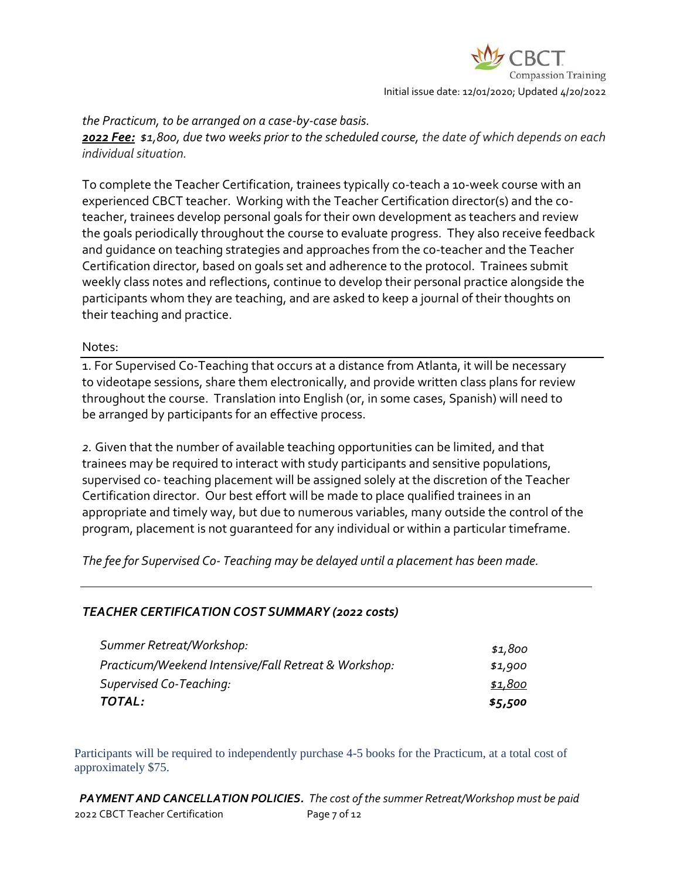

#### *the Practicum, to be arranged on a case-by-case basis.*

*2022 Fee: \$1,800, due two weeks prior to the scheduled course, the date of which depends on each individual situation.*

To complete the Teacher Certification, trainees typically co-teach a 10-week course with an experienced CBCT teacher. Working with the Teacher Certification director(s) and the coteacher, trainees develop personal goals for their own development as teachers and review the goals periodically throughout the course to evaluate progress. They also receive feedback and guidance on teaching strategies and approaches from the co-teacher and the Teacher Certification director, based on goals set and adherence to the protocol. Trainees submit weekly class notes and reflections, continue to develop their personal practice alongside the participants whom they are teaching, and are asked to keep a journal of their thoughts on their teaching and practice.

#### Notes:

1. For Supervised Co-Teaching that occurs at a distance from Atlanta, it will be necessary to videotape sessions, share them electronically, and provide written class plans for review throughout the course. Translation into English (or, in some cases, Spanish) will need to be arranged by participants for an effective process.

*2.* Given that the number of available teaching opportunities can be limited, and that trainees may be required to interact with study participants and sensitive populations, supervised co- teaching placement will be assigned solely at the discretion of the Teacher Certification director. Our best effort will be made to place qualified trainees in an appropriate and timely way, but due to numerous variables, many outside the control of the program, placement is not guaranteed for any individual or within a particular timeframe.

*The fee for Supervised Co- Teaching may be delayed until a placement has been made.*

### *TEACHER CERTIFICATION COST SUMMARY (2022 costs)*

| TOTAL:                                               | \$5,500 |
|------------------------------------------------------|---------|
| Supervised Co-Teaching:                              | \$1,800 |
| Practicum/Weekend Intensive/Fall Retreat & Workshop: | \$1,900 |
| Summer Retreat/Workshop:                             | \$1,800 |

Participants will be required to independently purchase 4-5 books for the Practicum, at a total cost of approximately \$75.

2022 CBCT Teacher Certification Page 7 of 12 *PAYMENT AND CANCELLATION POLICIES. The cost of the summer Retreat/Workshop must be paid*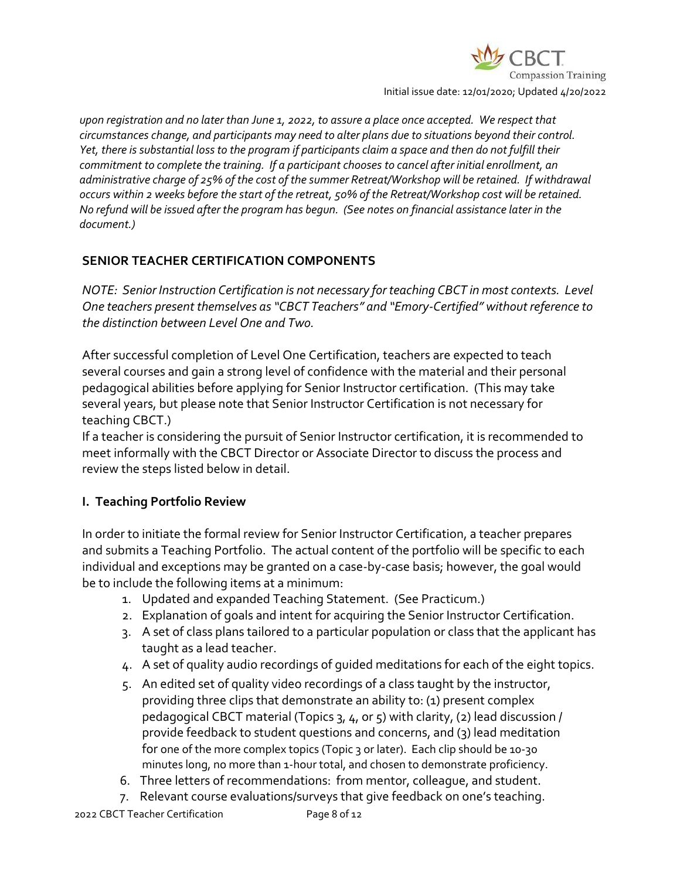

Initial issue date: 12/01/2020; Updated 4/20/2022

*upon registration and no later than June 1, 2022, to assure a place once accepted. We respect that circumstances change, and participants may need to alter plans due to situations beyond their control. Yet, there is substantial loss to the program if participants claim a space and then do not fulfill their commitment to complete the training. If a participant chooses to cancel after initial enrollment, an administrative charge of 25% of the cost of the summer Retreat/Workshop will be retained. If withdrawal occurs within 2 weeks before the start of the retreat, 50% of the Retreat/Workshop cost will be retained. No refund will be issued after the program has begun. (See notes on financial assistance later in the document.)*

### **SENIOR TEACHER CERTIFICATION COMPONENTS**

*NOTE: Senior Instruction Certification is not necessary for teaching CBCT in most contexts. Level One teachers present themselves as "CBCT Teachers" and "Emory-Certified" without reference to the distinction between Level One and Two.*

After successful completion of Level One Certification, teachers are expected to teach several courses and gain a strong level of confidence with the material and their personal pedagogical abilities before applying for Senior Instructor certification. (This may take several years, but please note that Senior Instructor Certification is not necessary for teaching CBCT.)

If a teacher is considering the pursuit of Senior Instructor certification, it is recommended to meet informally with the CBCT Director or Associate Director to discuss the process and review the steps listed below in detail.

### **I. Teaching Portfolio Review**

In order to initiate the formal review for Senior Instructor Certification, a teacher prepares and submits a Teaching Portfolio. The actual content of the portfolio will be specific to each individual and exceptions may be granted on a case-by-case basis; however, the goal would be to include the following items at a minimum:

- 1. Updated and expanded Teaching Statement. (See Practicum.)
- 2. Explanation of goals and intent for acquiring the Senior Instructor Certification.
- 3. A set of class plans tailored to a particular population or class that the applicant has taught as a lead teacher.
- 4. A set of quality audio recordings of guided meditations for each of the eight topics.
- 5. An edited set of quality video recordings of a class taught by the instructor, providing three clips that demonstrate an ability to: (1) present complex pedagogical CBCT material (Topics 3, 4, or 5) with clarity, (2) lead discussion / provide feedback to student questions and concerns, and (3) lead meditation for one of the more complex topics (Topic 3 or later). Each clip should be 10-30 minutes long, no more than 1-hour total, and chosen to demonstrate proficiency.
- 6. Three letters of recommendations: from mentor, colleague, and student.
- 7. Relevant course evaluations/surveys that give feedback on one's teaching.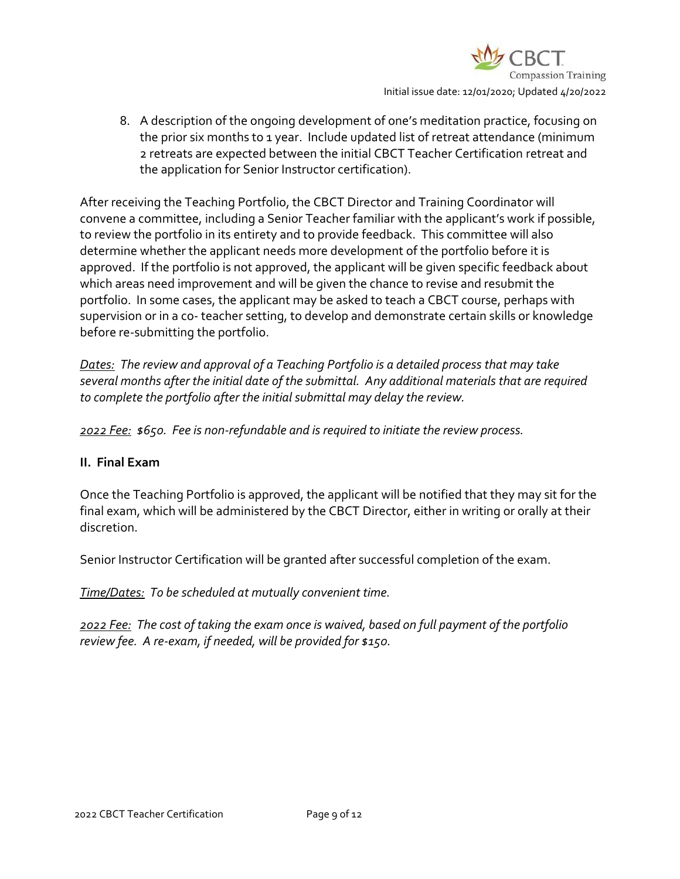

8. A description of the ongoing development of one's meditation practice, focusing on the prior six months to 1 year. Include updated list of retreat attendance (minimum 2 retreats are expected between the initial CBCT Teacher Certification retreat and the application for Senior Instructor certification).

After receiving the Teaching Portfolio, the CBCT Director and Training Coordinator will convene a committee, including a Senior Teacher familiar with the applicant's work if possible, to review the portfolio in its entirety and to provide feedback. This committee will also determine whether the applicant needs more development of the portfolio before it is approved. If the portfolio is not approved, the applicant will be given specific feedback about which areas need improvement and will be given the chance to revise and resubmit the portfolio. In some cases, the applicant may be asked to teach a CBCT course, perhaps with supervision or in a co- teacher setting, to develop and demonstrate certain skills or knowledge before re-submitting the portfolio.

*Dates: The review and approval of a Teaching Portfolio is a detailed process that may take several months after the initial date of the submittal. Any additional materials that are required to complete the portfolio after the initial submittal may delay the review.*

*2022 Fee: \$650. Fee is non-refundable and is required to initiate the review process.*

#### **II. Final Exam**

Once the Teaching Portfolio is approved, the applicant will be notified that they may sit for the final exam, which will be administered by the CBCT Director, either in writing or orally at their discretion.

Senior Instructor Certification will be granted after successful completion of the exam.

*Time/Dates: To be scheduled at mutually convenient time.*

*2022 Fee: The cost of taking the exam once is waived, based on full payment of the portfolio review fee. A re-exam, if needed, will be provided for \$150.*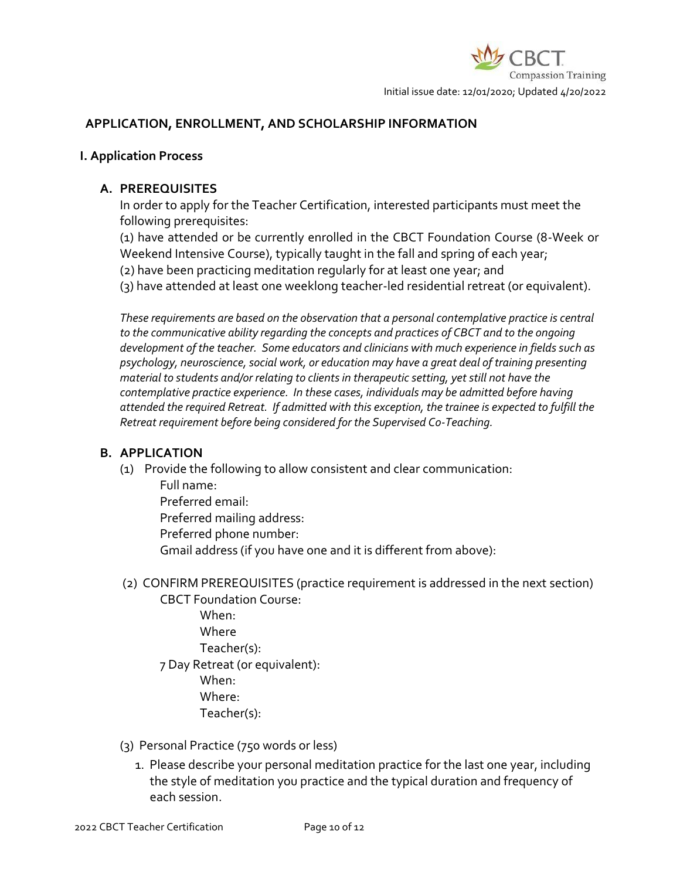

### **APPLICATION, ENROLLMENT, AND SCHOLARSHIP INFORMATION**

#### **I. Application Process**

#### **A. PREREQUISITES**

In order to apply for the Teacher Certification, interested participants must meet the following prerequisites:

(1) have attended or be currently enrolled in the CBCT Foundation Course (8-Week or Weekend Intensive Course), typically taught in the fall and spring of each year; (2) have been practicing meditation regularly for at least one year; and

(3) have attended at least one weeklong teacher-led residential retreat (or equivalent).

*These requirements are based on the observation that a personal contemplative practice is central to the communicative ability regarding the concepts and practices of CBCT and to the ongoing development of the teacher. Some educators and clinicians with much experience in fields such as psychology, neuroscience, social work, or education may have a great deal of training presenting material to students and/or relating to clients in therapeutic setting, yet still not have the contemplative practice experience. In these cases, individuals may be admitted before having attended the required Retreat. If admitted with this exception, the trainee is expected to fulfill the Retreat requirement before being considered for the Supervised Co-Teaching.*

#### **B. APPLICATION**

(1) Provide the following to allow consistent and clear communication: Full name:

Preferred email: Preferred mailing address: Preferred phone number: Gmail address (if you have one and it is different from above):

- (2) CONFIRM PREREQUISITES (practice requirement is addressed in the next section)
	- CBCT Foundation Course: When: **Where** Teacher(s): 7 Day Retreat (or equivalent): When: Where: Teacher(s):
- (3) Personal Practice (750 words or less)
	- 1. Please describe your personal meditation practice for the last one year, including the style of meditation you practice and the typical duration and frequency of each session.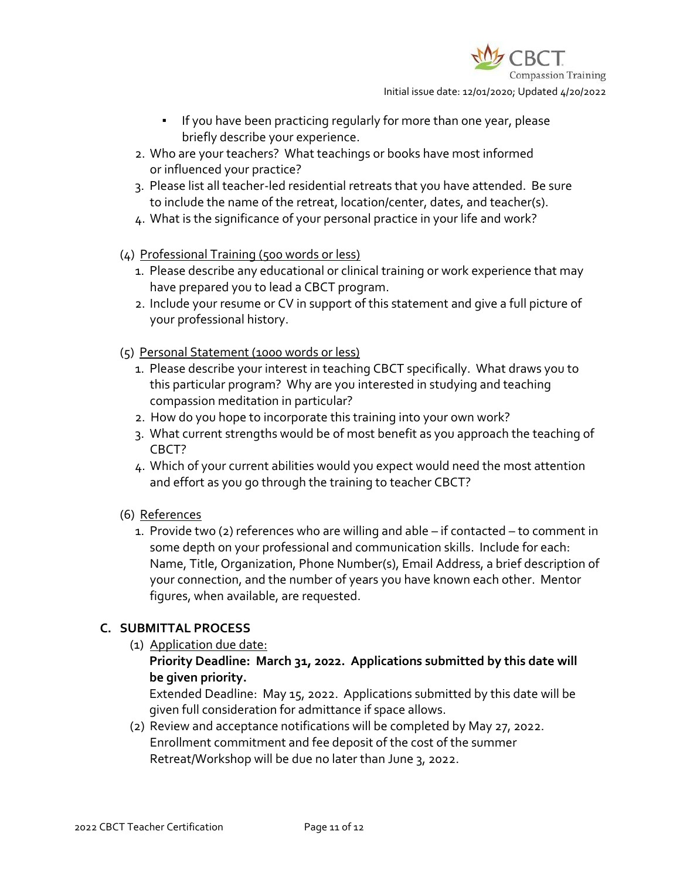

- If you have been practicing regularly for more than one year, please briefly describe your experience.
- 2. Who are your teachers? What teachings or books have most informed or influenced your practice?
- 3. Please list all teacher-led residential retreats that you have attended. Be sure to include the name of the retreat, location/center, dates, and teacher(s).
- 4. What is the significance of your personal practice in your life and work?
- (4) Professional Training (500 words or less)
	- 1. Please describe any educational or clinical training or work experience that may have prepared you to lead a CBCT program.
	- 2. Include your resume or CV in support of this statement and give a full picture of your professional history.
- (5) Personal Statement (1000 words or less)
	- 1. Please describe your interest in teaching CBCT specifically. What draws you to this particular program? Why are you interested in studying and teaching compassion meditation in particular?
	- 2. How do you hope to incorporate this training into your own work?
	- 3. What current strengths would be of most benefit as you approach the teaching of CBCT?
	- 4. Which of your current abilities would you expect would need the most attention and effort as you go through the training to teacher CBCT?
- (6) References
	- 1. Provide two (2) references who are willing and able if contacted to comment in some depth on your professional and communication skills. Include for each: Name, Title, Organization, Phone Number(s), Email Address, a brief description of your connection, and the number of years you have known each other. Mentor figures, when available, are requested.

# **C. SUBMITTAL PROCESS**

(1) Application due date:

### **Priority Deadline: March 31, 2022. Applications submitted by this date will be given priority.**

Extended Deadline: May 15, 2022. Applications submitted by this date will be given full consideration for admittance if space allows.

(2) Review and acceptance notifications will be completed by May 27, 2022. Enrollment commitment and fee deposit of the cost of the summer Retreat/Workshop will be due no later than June 3, 2022.